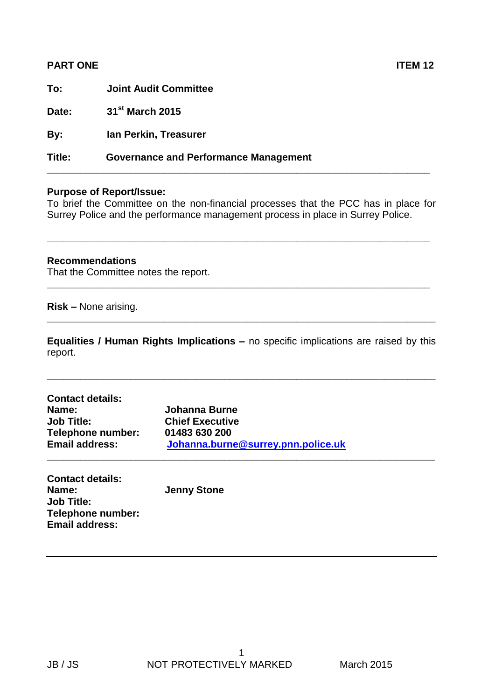| <b>PART ONE</b> |                                              | <b>ITEM 12</b> |
|-----------------|----------------------------------------------|----------------|
| To:             | <b>Joint Audit Committee</b>                 |                |
| Date:           | 31 <sup>st</sup> March 2015                  |                |
| By:             | Ian Perkin, Treasurer                        |                |
| Title:          | <b>Governance and Performance Management</b> |                |

## **Purpose of Report/Issue:**

To brief the Committee on the non-financial processes that the PCC has in place for Surrey Police and the performance management process in place in Surrey Police.

**\_\_\_\_\_\_\_\_\_\_\_\_\_\_\_\_\_\_\_\_\_\_\_\_\_\_\_\_\_\_\_\_\_\_\_\_\_\_\_\_\_\_\_\_\_\_\_\_\_\_\_\_\_\_\_\_\_\_\_\_\_\_\_\_\_\_\_\_\_**

**\_\_\_\_\_\_\_\_\_\_\_\_\_\_\_\_\_\_\_\_\_\_\_\_\_\_\_\_\_\_\_\_\_\_\_\_\_\_\_\_\_\_\_\_\_\_\_\_\_\_\_\_\_\_\_\_\_\_\_\_\_\_\_\_\_\_\_\_\_**

## **Recommendations**

That the Committee notes the report.

**Risk –** None arising.

**Equalities / Human Rights Implications –** no specific implications are raised by this report.

**\_\_\_\_\_\_\_\_\_\_\_\_\_\_\_\_\_\_\_\_\_\_\_\_\_\_\_\_\_\_\_\_\_\_\_\_\_\_\_\_\_\_\_\_\_\_\_\_\_\_\_\_\_\_\_\_\_\_\_\_\_\_\_\_\_\_\_\_\_\_**

**\_\_\_\_\_\_\_\_\_\_\_\_\_\_\_\_\_\_\_\_\_\_\_\_\_\_\_\_\_\_\_\_\_\_\_\_\_\_\_\_\_\_\_\_\_\_\_\_\_\_\_\_\_\_\_\_\_\_\_\_\_\_\_\_\_\_\_\_\_\_**

| <b>Contact details:</b> |                                    |  |
|-------------------------|------------------------------------|--|
| Name:                   | Johanna Burne                      |  |
| <b>Job Title:</b>       | <b>Chief Executive</b>             |  |
| Telephone number:       | 01483 630 200                      |  |
| <b>Email address:</b>   | Johanna.burne@surrey.pnn.police.uk |  |
|                         |                                    |  |

| <b>Contact details:</b>  |                    |
|--------------------------|--------------------|
| Name:                    | <b>Jenny Stone</b> |
| <b>Job Title:</b>        |                    |
| <b>Telephone number:</b> |                    |
| <b>Email address:</b>    |                    |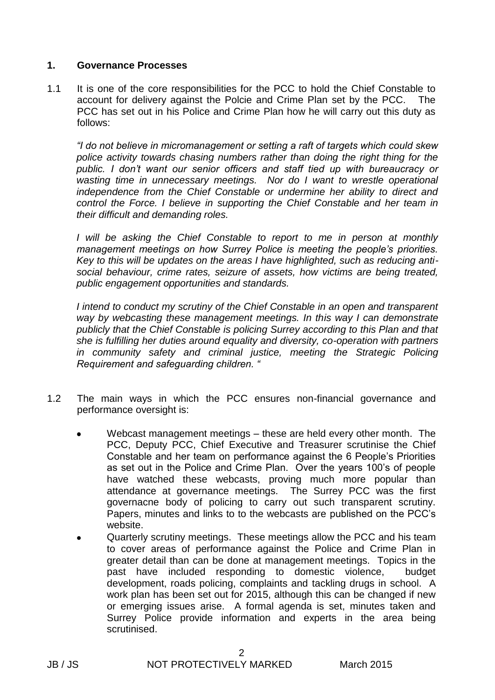## **1. Governance Processes**

1.1 It is one of the core responsibilities for the PCC to hold the Chief Constable to account for delivery against the Polcie and Crime Plan set by the PCC. The PCC has set out in his Police and Crime Plan how he will carry out this duty as follows:

*"I do not believe in micromanagement or setting a raft of targets which could skew police activity towards chasing numbers rather than doing the right thing for the public. I don't want our senior officers and staff tied up with bureaucracy or wasting time in unnecessary meetings. Nor do I want to wrestle operational independence from the Chief Constable or undermine her ability to direct and control the Force. I believe in supporting the Chief Constable and her team in their difficult and demanding roles.* 

*I will be asking the Chief Constable to report to me in person at monthly management meetings on how Surrey Police is meeting the people's priorities. Key to this will be updates on the areas I have highlighted, such as reducing antisocial behaviour, crime rates, seizure of assets, how victims are being treated, public engagement opportunities and standards.* 

*I intend to conduct my scrutiny of the Chief Constable in an open and transparent way by webcasting these management meetings. In this way I can demonstrate publicly that the Chief Constable is policing Surrey according to this Plan and that she is fulfilling her duties around equality and diversity, co-operation with partners*  in community safety and criminal justice, meeting the Strategic Policing *Requirement and safeguarding children. "*

- 1.2 The main ways in which the PCC ensures non-financial governance and performance oversight is:
	- Webcast management meetings these are held every other month. The PCC, Deputy PCC, Chief Executive and Treasurer scrutinise the Chief Constable and her team on performance against the 6 People's Priorities as set out in the Police and Crime Plan. Over the years 100's of people have watched these webcasts, proving much more popular than attendance at governance meetings. The Surrey PCC was the first governacne body of policing to carry out such transparent scrutiny. Papers, minutes and links to to the webcasts are published on the PCC's website.
	- Quarterly scrutiny meetings. These meetings allow the PCC and his team to cover areas of performance against the Police and Crime Plan in greater detail than can be done at management meetings. Topics in the past have included responding to domestic violence, budget development, roads policing, complaints and tackling drugs in school. A work plan has been set out for 2015, although this can be changed if new or emerging issues arise. A formal agenda is set, minutes taken and Surrey Police provide information and experts in the area being scrutinised.

2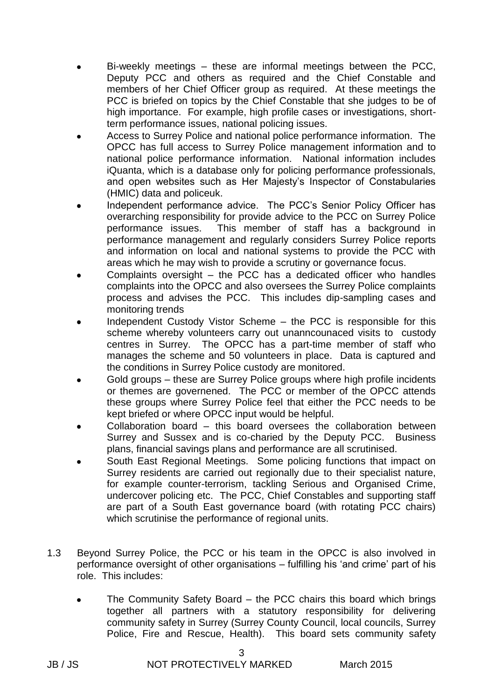- Bi-weekly meetings these are informal meetings between the PCC, Deputy PCC and others as required and the Chief Constable and members of her Chief Officer group as required. At these meetings the PCC is briefed on topics by the Chief Constable that she judges to be of high importance. For example, high profile cases or investigations, shortterm performance issues, national policing issues.
- Access to Surrey Police and national police performance information. The OPCC has full access to Surrey Police management information and to national police performance information. National information includes iQuanta, which is a database only for policing performance professionals, and open websites such as Her Majesty's Inspector of Constabularies (HMIC) data and policeuk.
- Independent performance advice. The PCC's Senior Policy Officer has overarching responsibility for provide advice to the PCC on Surrey Police performance issues. This member of staff has a background in performance management and regularly considers Surrey Police reports and information on local and national systems to provide the PCC with areas which he may wish to provide a scrutiny or governance focus.
- Complaints oversight the PCC has a dedicated officer who handles complaints into the OPCC and also oversees the Surrey Police complaints process and advises the PCC. This includes dip-sampling cases and monitoring trends
- Independent Custody Vistor Scheme the PCC is responsible for this scheme whereby volunteers carry out unanncounaced visits to custody centres in Surrey. The OPCC has a part-time member of staff who manages the scheme and 50 volunteers in place. Data is captured and the conditions in Surrey Police custody are monitored.
- Gold groups these are Surrey Police groups where high profile incidents or themes are governened. The PCC or member of the OPCC attends these groups where Surrey Police feel that either the PCC needs to be kept briefed or where OPCC input would be helpful.
- Collaboration board this board oversees the collaboration between Surrey and Sussex and is co-charied by the Deputy PCC. Business plans, financial savings plans and performance are all scrutinised.
- South East Regional Meetings. Some policing functions that impact on Surrey residents are carried out regionally due to their specialist nature, for example counter-terrorism, tackling Serious and Organised Crime, undercover policing etc. The PCC, Chief Constables and supporting staff are part of a South East governance board (with rotating PCC chairs) which scrutinise the performance of regional units.
- 1.3 Beyond Surrey Police, the PCC or his team in the OPCC is also involved in performance oversight of other organisations – fulfilling his 'and crime' part of his role. This includes:
	- The Community Safety Board the PCC chairs this board which brings together all partners with a statutory responsibility for delivering community safety in Surrey (Surrey County Council, local councils, Surrey Police, Fire and Rescue, Health). This board sets community safety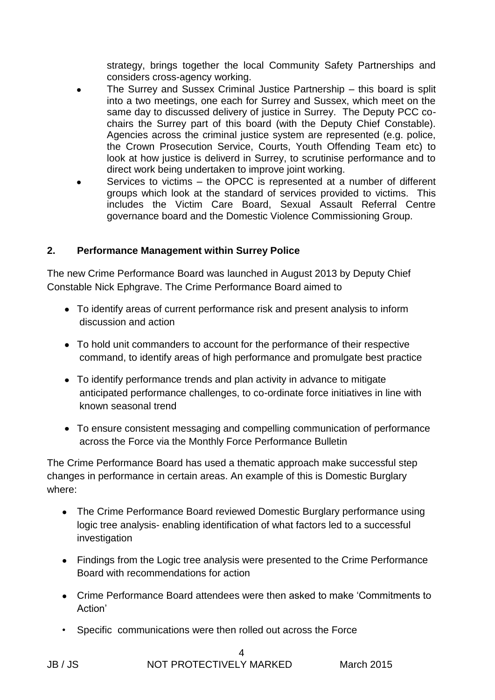strategy, brings together the local Community Safety Partnerships and considers cross-agency working.

- The Surrey and Sussex Criminal Justice Partnership this board is split into a two meetings, one each for Surrey and Sussex, which meet on the same day to discussed delivery of justice in Surrey. The Deputy PCC cochairs the Surrey part of this board (with the Deputy Chief Constable). Agencies across the criminal justice system are represented (e.g. police, the Crown Prosecution Service, Courts, Youth Offending Team etc) to look at how justice is deliverd in Surrey, to scrutinise performance and to direct work being undertaken to improve joint working.
- Services to victims the OPCC is represented at a number of different groups which look at the standard of services provided to victims. This includes the Victim Care Board, Sexual Assault Referral Centre governance board and the Domestic Violence Commissioning Group.

## **2. Performance Management within Surrey Police**

The new Crime Performance Board was launched in August 2013 by Deputy Chief Constable Nick Ephgrave. The Crime Performance Board aimed to

- To identify areas of current performance risk and present analysis to inform discussion and action
- To hold unit commanders to account for the performance of their respective command, to identify areas of high performance and promulgate best practice
- To identify performance trends and plan activity in advance to mitigate anticipated performance challenges, to co-ordinate force initiatives in line with known seasonal trend
- To ensure consistent messaging and compelling communication of performance across the Force via the Monthly Force Performance Bulletin

The Crime Performance Board has used a thematic approach make successful step changes in performance in certain areas. An example of this is Domestic Burglary where:

- The Crime Performance Board reviewed Domestic Burglary performance using logic tree analysis- enabling identification of what factors led to a successful investigation
- Findings from the Logic tree analysis were presented to the Crime Performance Board with recommendations for action
- Crime Performance Board attendees were then asked to make 'Commitments to Action'
- Specific communications were then rolled out across the Force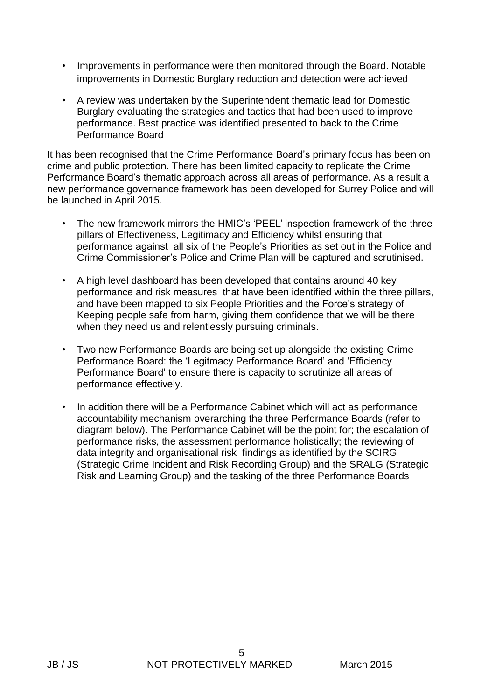- Improvements in performance were then monitored through the Board. Notable improvements in Domestic Burglary reduction and detection were achieved
- A review was undertaken by the Superintendent thematic lead for Domestic Burglary evaluating the strategies and tactics that had been used to improve performance. Best practice was identified presented to back to the Crime Performance Board

It has been recognised that the Crime Performance Board's primary focus has been on crime and public protection. There has been limited capacity to replicate the Crime Performance Board's thematic approach across all areas of performance. As a result a new performance governance framework has been developed for Surrey Police and will be launched in April 2015.

- The new framework mirrors the HMIC's 'PEEL' inspection framework of the three pillars of Effectiveness, Legitimacy and Efficiency whilst ensuring that performance against all six of the People's Priorities as set out in the Police and Crime Commissioner's Police and Crime Plan will be captured and scrutinised.
- A high level dashboard has been developed that contains around 40 key performance and risk measures that have been identified within the three pillars, and have been mapped to six People Priorities and the Force's strategy of Keeping people safe from harm, giving them confidence that we will be there when they need us and relentlessly pursuing criminals.
- Two new Performance Boards are being set up alongside the existing Crime Performance Board: the 'Legitmacy Performance Board' and 'Efficiency Performance Board' to ensure there is capacity to scrutinize all areas of performance effectively.
- In addition there will be a Performance Cabinet which will act as performance accountability mechanism overarching the three Performance Boards (refer to diagram below). The Performance Cabinet will be the point for; the escalation of performance risks, the assessment performance holistically; the reviewing of data integrity and organisational risk findings as identified by the SCIRG (Strategic Crime Incident and Risk Recording Group) and the SRALG (Strategic Risk and Learning Group) and the tasking of the three Performance Boards